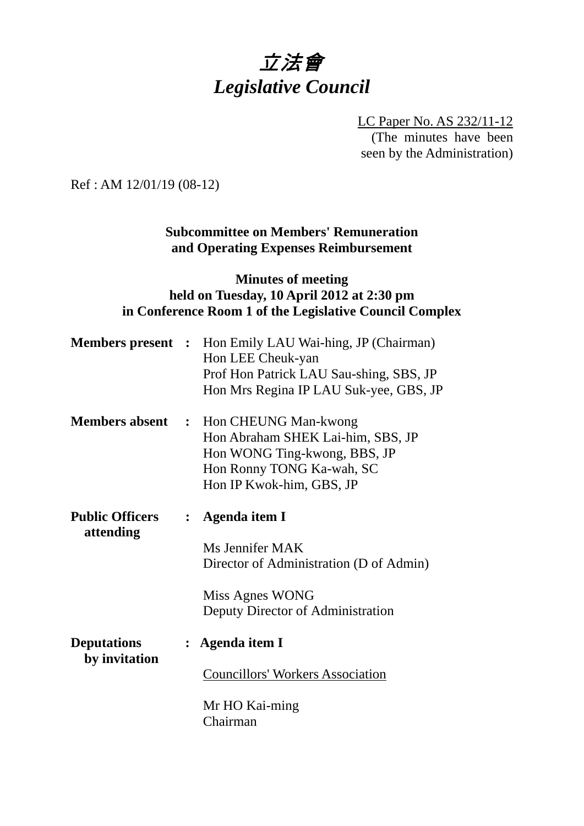# 立法會 *Legislative Council*

LC Paper No. AS 232/11-12 (The minutes have been seen by the Administration)

Ref : AM 12/01/19 (08-12)

# **Subcommittee on Members' Remuneration and Operating Expenses Reimbursement**

# **Minutes of meeting held on Tuesday, 10 April 2012 at 2:30 pm in Conference Room 1 of the Legislative Council Complex**

|                                     |                | <b>Members present</b> : Hon Emily LAU Wai-hing, JP (Chairman)<br>Hon LEE Cheuk-yan<br>Prof Hon Patrick LAU Sau-shing, SBS, JP<br>Hon Mrs Regina IP LAU Suk-yee, GBS, JP |
|-------------------------------------|----------------|--------------------------------------------------------------------------------------------------------------------------------------------------------------------------|
| <b>Members absent</b>               | $\ddot{\cdot}$ | Hon CHEUNG Man-kwong<br>Hon Abraham SHEK Lai-him, SBS, JP<br>Hon WONG Ting-kwong, BBS, JP<br>Hon Ronny TONG Ka-wah, SC<br>Hon IP Kwok-him, GBS, JP                       |
| <b>Public Officers</b><br>attending | $\ddot{\cdot}$ | Agenda item I<br>Ms Jennifer MAK<br>Director of Administration (D of Admin)<br>Miss Agnes WONG<br>Deputy Director of Administration                                      |
| <b>Deputations</b><br>by invitation |                | Agenda item I<br><b>Councillors' Workers Association</b><br>Mr HO Kai-ming<br>Chairman                                                                                   |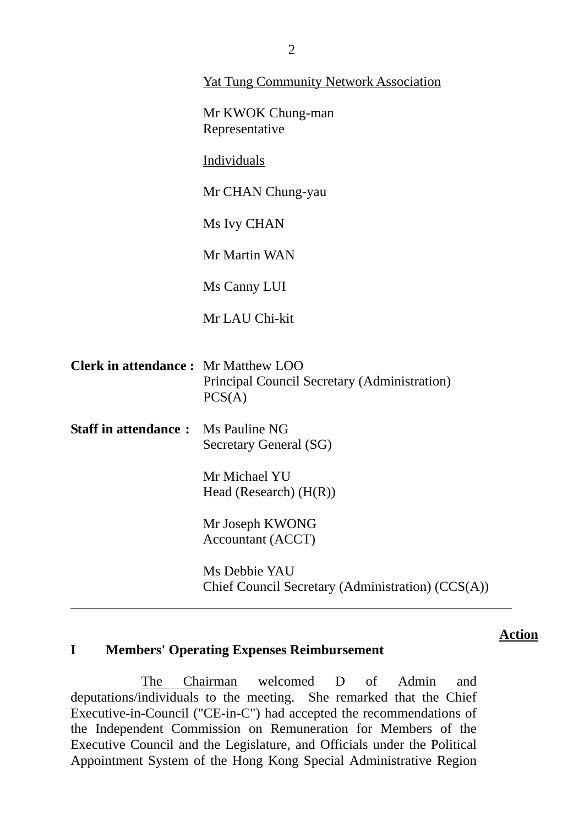|                                            | <b>Yat Tung Community Network Association</b>                      |  |
|--------------------------------------------|--------------------------------------------------------------------|--|
|                                            | Mr KWOK Chung-man<br>Representative                                |  |
|                                            | Individuals                                                        |  |
|                                            | Mr CHAN Chung-yau                                                  |  |
|                                            | Ms Ivy CHAN                                                        |  |
|                                            | Mr Martin WAN                                                      |  |
|                                            | Ms Canny LUI                                                       |  |
|                                            | Mr LAU Chi-kit                                                     |  |
|                                            |                                                                    |  |
| <b>Clerk in attendance:</b> Mr Matthew LOO | Principal Council Secretary (Administration)<br>PCS(A)             |  |
| <b>Staff in attendance:</b>                | Ms Pauline NG<br>Secretary General (SG)                            |  |
|                                            | Mr Michael YU<br>Head (Research) $(H(R))$                          |  |
|                                            | Mr Joseph KWONG<br><b>Accountant (ACCT)</b>                        |  |
|                                            | Ms Debbie YAU<br>Chief Council Secretary (Administration) (CCS(A)) |  |

# **I Members' Operating Expenses Reimbursement**

 The Chairman welcomed D of Admin and deputations/individuals to the meeting. She remarked that the Chief Executive-in-Council ("CE-in-C") had accepted the recommendations of the Independent Commission on Remuneration for Members of the Executive Council and the Legislature, and Officials under the Political Appointment System of the Hong Kong Special Administrative Region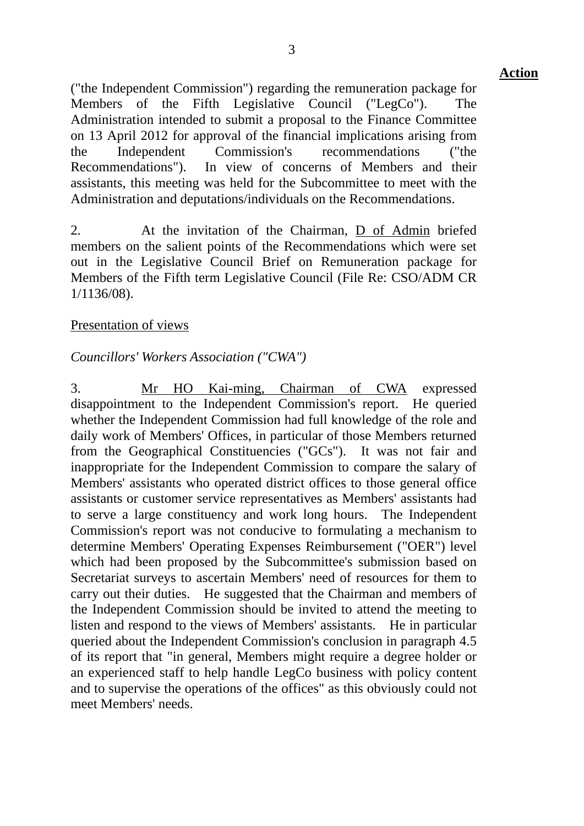("the Independent Commission") regarding the remuneration package for Members of the Fifth Legislative Council ("LegCo"). The Administration intended to submit a proposal to the Finance Committee on 13 April 2012 for approval of the financial implications arising from the Independent Commission's recommendations ("the Recommendations"). In view of concerns of Members and their assistants, this meeting was held for the Subcommittee to meet with the Administration and deputations/individuals on the Recommendations.

2. At the invitation of the Chairman, D of Admin briefed members on the salient points of the Recommendations which were set out in the Legislative Council Brief on Remuneration package for Members of the Fifth term Legislative Council (File Re: CSO/ADM CR 1/1136/08).

#### Presentation of views

#### *Councillors' Workers Association ("CWA")*

3. Mr HO Kai-ming, Chairman of CWA expressed disappointment to the Independent Commission's report. He queried whether the Independent Commission had full knowledge of the role and daily work of Members' Offices, in particular of those Members returned from the Geographical Constituencies ("GCs"). It was not fair and inappropriate for the Independent Commission to compare the salary of Members' assistants who operated district offices to those general office assistants or customer service representatives as Members' assistants had to serve a large constituency and work long hours. The Independent Commission's report was not conducive to formulating a mechanism to determine Members' Operating Expenses Reimbursement ("OER") level which had been proposed by the Subcommittee's submission based on Secretariat surveys to ascertain Members' need of resources for them to carry out their duties. He suggested that the Chairman and members of the Independent Commission should be invited to attend the meeting to listen and respond to the views of Members' assistants. He in particular queried about the Independent Commission's conclusion in paragraph 4.5 of its report that "in general, Members might require a degree holder or an experienced staff to help handle LegCo business with policy content and to supervise the operations of the offices" as this obviously could not meet Members' needs.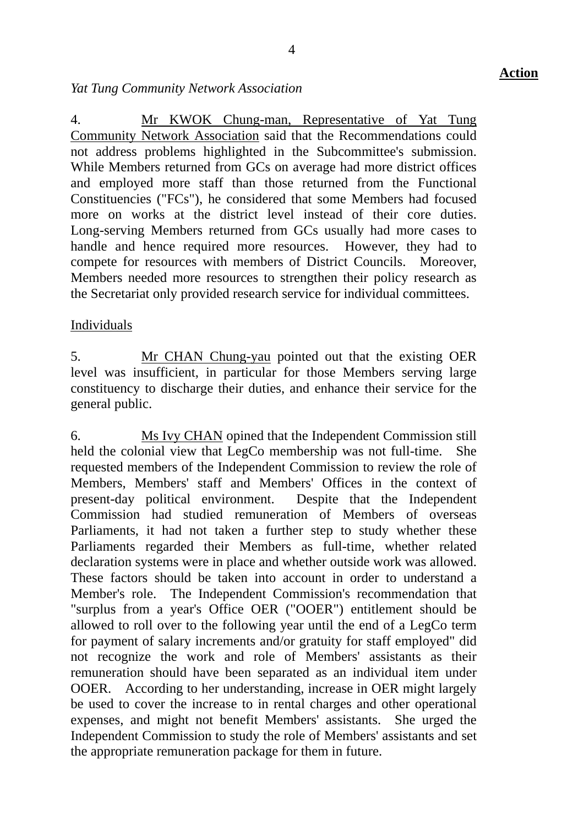#### *Yat Tung Community Network Association*

4. Mr KWOK Chung-man, Representative of Yat Tung Community Network Association said that the Recommendations could not address problems highlighted in the Subcommittee's submission. While Members returned from GCs on average had more district offices and employed more staff than those returned from the Functional Constituencies ("FCs"), he considered that some Members had focused more on works at the district level instead of their core duties. Long-serving Members returned from GCs usually had more cases to handle and hence required more resources. However, they had to compete for resources with members of District Councils. Moreover, Members needed more resources to strengthen their policy research as the Secretariat only provided research service for individual committees.

#### Individuals

5. Mr CHAN Chung-yau pointed out that the existing OER level was insufficient, in particular for those Members serving large constituency to discharge their duties, and enhance their service for the general public.

6. Ms Ivy CHAN opined that the Independent Commission still held the colonial view that LegCo membership was not full-time. She requested members of the Independent Commission to review the role of Members, Members' staff and Members' Offices in the context of present-day political environment. Despite that the Independent Commission had studied remuneration of Members of overseas Parliaments, it had not taken a further step to study whether these Parliaments regarded their Members as full-time, whether related declaration systems were in place and whether outside work was allowed. These factors should be taken into account in order to understand a Member's role. The Independent Commission's recommendation that "surplus from a year's Office OER ("OOER") entitlement should be allowed to roll over to the following year until the end of a LegCo term for payment of salary increments and/or gratuity for staff employed" did not recognize the work and role of Members' assistants as their remuneration should have been separated as an individual item under OOER. According to her understanding, increase in OER might largely be used to cover the increase to in rental charges and other operational expenses, and might not benefit Members' assistants. She urged the Independent Commission to study the role of Members' assistants and set the appropriate remuneration package for them in future.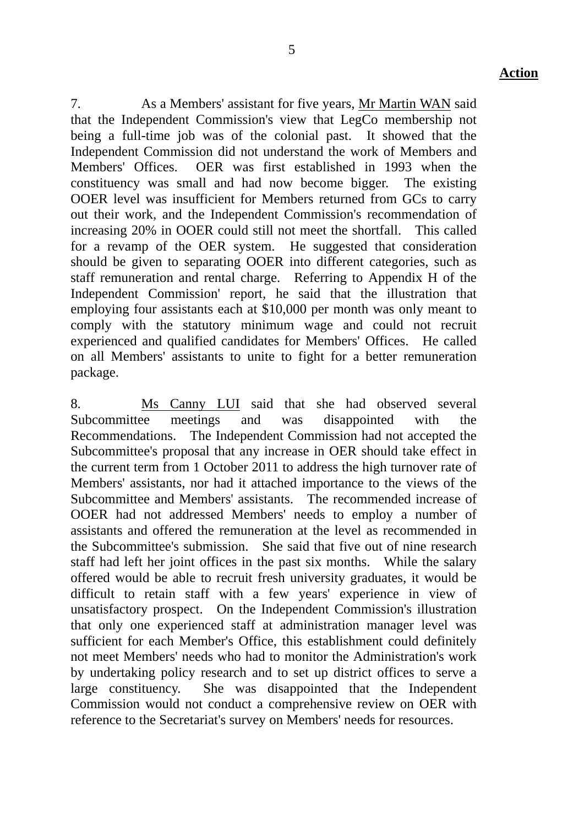7. As a Members' assistant for five years, Mr Martin WAN said that the Independent Commission's view that LegCo membership not being a full-time job was of the colonial past. It showed that the Independent Commission did not understand the work of Members and Members' Offices. OER was first established in 1993 when the constituency was small and had now become bigger. The existing OOER level was insufficient for Members returned from GCs to carry out their work, and the Independent Commission's recommendation of increasing 20% in OOER could still not meet the shortfall. This called for a revamp of the OER system. He suggested that consideration should be given to separating OOER into different categories, such as staff remuneration and rental charge. Referring to Appendix H of the Independent Commission' report, he said that the illustration that employing four assistants each at \$10,000 per month was only meant to comply with the statutory minimum wage and could not recruit experienced and qualified candidates for Members' Offices. He called on all Members' assistants to unite to fight for a better remuneration package.

8. Ms Canny LUI said that she had observed several Subcommittee meetings and was disappointed with the Recommendations. The Independent Commission had not accepted the Subcommittee's proposal that any increase in OER should take effect in the current term from 1 October 2011 to address the high turnover rate of Members' assistants, nor had it attached importance to the views of the Subcommittee and Members' assistants. The recommended increase of OOER had not addressed Members' needs to employ a number of assistants and offered the remuneration at the level as recommended in the Subcommittee's submission. She said that five out of nine research staff had left her joint offices in the past six months. While the salary offered would be able to recruit fresh university graduates, it would be difficult to retain staff with a few years' experience in view of unsatisfactory prospect. On the Independent Commission's illustration that only one experienced staff at administration manager level was sufficient for each Member's Office, this establishment could definitely not meet Members' needs who had to monitor the Administration's work by undertaking policy research and to set up district offices to serve a large constituency. She was disappointed that the Independent Commission would not conduct a comprehensive review on OER with reference to the Secretariat's survey on Members' needs for resources.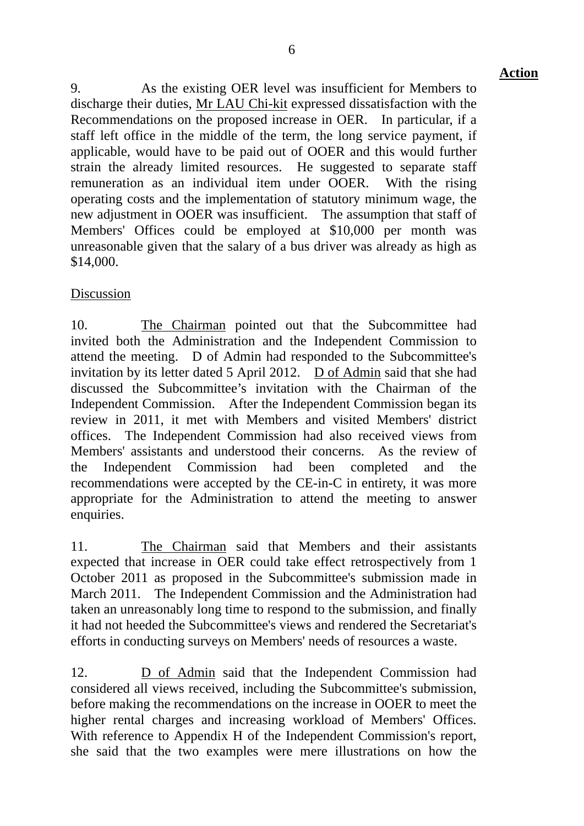9. As the existing OER level was insufficient for Members to discharge their duties, Mr LAU Chi-kit expressed dissatisfaction with the Recommendations on the proposed increase in OER. In particular, if a staff left office in the middle of the term, the long service payment, if applicable, would have to be paid out of OOER and this would further strain the already limited resources. He suggested to separate staff remuneration as an individual item under OOER. With the rising operating costs and the implementation of statutory minimum wage, the new adjustment in OOER was insufficient. The assumption that staff of Members' Offices could be employed at \$10,000 per month was unreasonable given that the salary of a bus driver was already as high as \$14,000.

# Discussion

10. The Chairman pointed out that the Subcommittee had invited both the Administration and the Independent Commission to attend the meeting. D of Admin had responded to the Subcommittee's invitation by its letter dated 5 April 2012. D of Admin said that she had discussed the Subcommittee's invitation with the Chairman of the Independent Commission. After the Independent Commission began its review in 2011, it met with Members and visited Members' district offices. The Independent Commission had also received views from Members' assistants and understood their concerns. As the review of the Independent Commission had been completed and the recommendations were accepted by the CE-in-C in entirety, it was more appropriate for the Administration to attend the meeting to answer enquiries.

11. The Chairman said that Members and their assistants expected that increase in OER could take effect retrospectively from 1 October 2011 as proposed in the Subcommittee's submission made in March 2011. The Independent Commission and the Administration had taken an unreasonably long time to respond to the submission, and finally it had not heeded the Subcommittee's views and rendered the Secretariat's efforts in conducting surveys on Members' needs of resources a waste.

12. D of Admin said that the Independent Commission had considered all views received, including the Subcommittee's submission, before making the recommendations on the increase in OOER to meet the higher rental charges and increasing workload of Members' Offices. With reference to Appendix H of the Independent Commission's report, she said that the two examples were mere illustrations on how the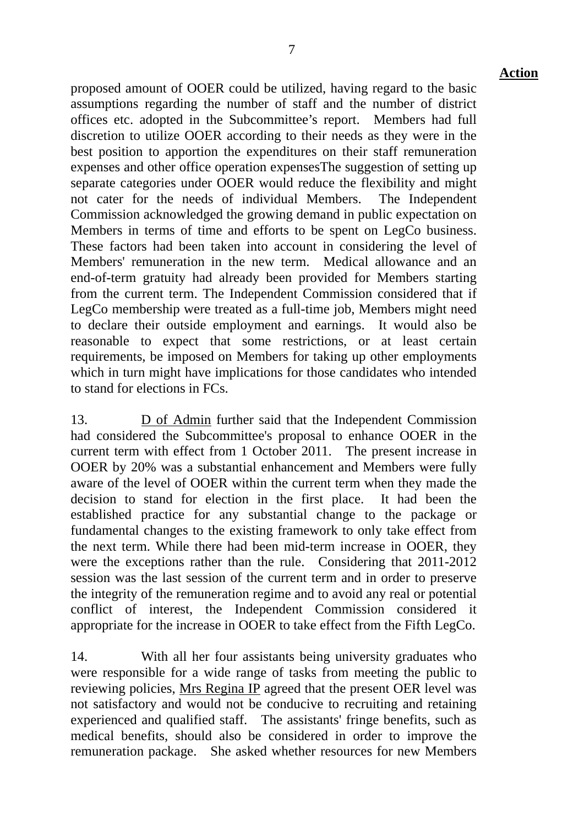proposed amount of OOER could be utilized, having regard to the basic assumptions regarding the number of staff and the number of district offices etc. adopted in the Subcommittee's report. Members had full discretion to utilize OOER according to their needs as they were in the best position to apportion the expenditures on their staff remuneration expenses and other office operation expensesThe suggestion of setting up separate categories under OOER would reduce the flexibility and might not cater for the needs of individual Members. The Independent Commission acknowledged the growing demand in public expectation on Members in terms of time and efforts to be spent on LegCo business. These factors had been taken into account in considering the level of Members' remuneration in the new term. Medical allowance and an end-of-term gratuity had already been provided for Members starting from the current term. The Independent Commission considered that if LegCo membership were treated as a full-time job, Members might need to declare their outside employment and earnings. It would also be reasonable to expect that some restrictions, or at least certain requirements, be imposed on Members for taking up other employments which in turn might have implications for those candidates who intended to stand for elections in FCs.

13. D of Admin further said that the Independent Commission had considered the Subcommittee's proposal to enhance OOER in the current term with effect from 1 October 2011. The present increase in OOER by 20% was a substantial enhancement and Members were fully aware of the level of OOER within the current term when they made the decision to stand for election in the first place. It had been the established practice for any substantial change to the package or fundamental changes to the existing framework to only take effect from the next term. While there had been mid-term increase in OOER, they were the exceptions rather than the rule. Considering that 2011-2012 session was the last session of the current term and in order to preserve the integrity of the remuneration regime and to avoid any real or potential conflict of interest, the Independent Commission considered it appropriate for the increase in OOER to take effect from the Fifth LegCo.

14. With all her four assistants being university graduates who were responsible for a wide range of tasks from meeting the public to reviewing policies, Mrs Regina IP agreed that the present OER level was not satisfactory and would not be conducive to recruiting and retaining experienced and qualified staff. The assistants' fringe benefits, such as medical benefits, should also be considered in order to improve the remuneration package. She asked whether resources for new Members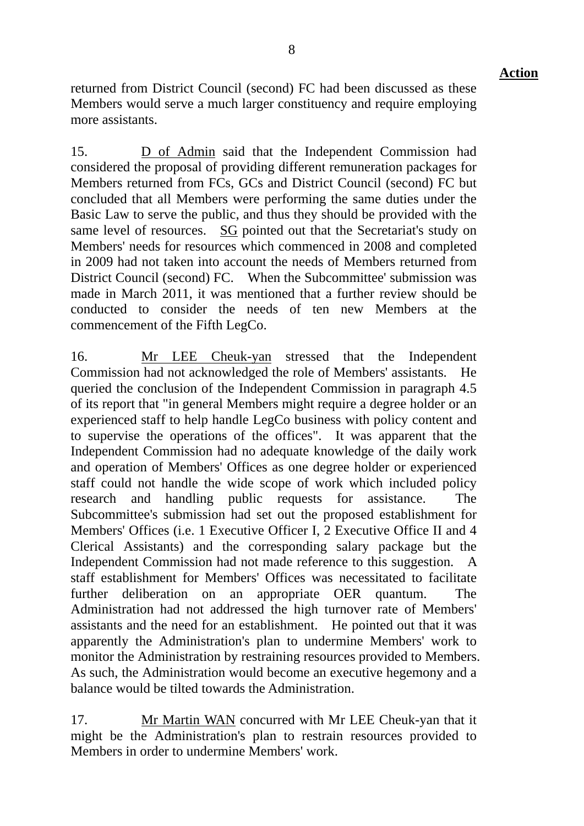returned from District Council (second) FC had been discussed as these Members would serve a much larger constituency and require employing more assistants.

15. D of Admin said that the Independent Commission had considered the proposal of providing different remuneration packages for Members returned from FCs, GCs and District Council (second) FC but concluded that all Members were performing the same duties under the Basic Law to serve the public, and thus they should be provided with the same level of resources. SG pointed out that the Secretariat's study on Members' needs for resources which commenced in 2008 and completed in 2009 had not taken into account the needs of Members returned from District Council (second) FC. When the Subcommittee' submission was made in March 2011, it was mentioned that a further review should be conducted to consider the needs of ten new Members at the commencement of the Fifth LegCo.

16. Mr LEE Cheuk-yan stressed that the Independent Commission had not acknowledged the role of Members' assistants. He queried the conclusion of the Independent Commission in paragraph 4.5 of its report that "in general Members might require a degree holder or an experienced staff to help handle LegCo business with policy content and to supervise the operations of the offices". It was apparent that the Independent Commission had no adequate knowledge of the daily work and operation of Members' Offices as one degree holder or experienced staff could not handle the wide scope of work which included policy research and handling public requests for assistance. Subcommittee's submission had set out the proposed establishment for Members' Offices (i.e. 1 Executive Officer I, 2 Executive Office II and 4 Clerical Assistants) and the corresponding salary package but the Independent Commission had not made reference to this suggestion. A staff establishment for Members' Offices was necessitated to facilitate further deliberation on an appropriate OER quantum. The Administration had not addressed the high turnover rate of Members' assistants and the need for an establishment. He pointed out that it was apparently the Administration's plan to undermine Members' work to monitor the Administration by restraining resources provided to Members. As such, the Administration would become an executive hegemony and a balance would be tilted towards the Administration.

17. Mr Martin WAN concurred with Mr LEE Cheuk-yan that it might be the Administration's plan to restrain resources provided to Members in order to undermine Members' work.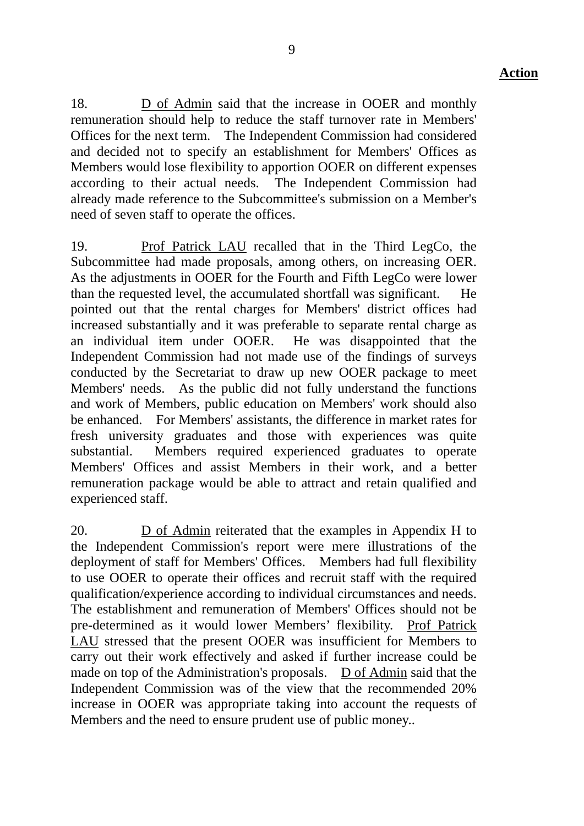18. D of Admin said that the increase in OOER and monthly remuneration should help to reduce the staff turnover rate in Members' Offices for the next term. The Independent Commission had considered and decided not to specify an establishment for Members' Offices as Members would lose flexibility to apportion OOER on different expenses according to their actual needs. The Independent Commission had already made reference to the Subcommittee's submission on a Member's need of seven staff to operate the offices.

19. Prof Patrick LAU recalled that in the Third LegCo, the Subcommittee had made proposals, among others, on increasing OER. As the adjustments in OOER for the Fourth and Fifth LegCo were lower than the requested level, the accumulated shortfall was significant. He pointed out that the rental charges for Members' district offices had increased substantially and it was preferable to separate rental charge as an individual item under OOER. He was disappointed that the Independent Commission had not made use of the findings of surveys conducted by the Secretariat to draw up new OOER package to meet Members' needs. As the public did not fully understand the functions and work of Members, public education on Members' work should also be enhanced. For Members' assistants, the difference in market rates for fresh university graduates and those with experiences was quite substantial. Members required experienced graduates to operate Members' Offices and assist Members in their work, and a better remuneration package would be able to attract and retain qualified and experienced staff.

20. D of Admin reiterated that the examples in Appendix H to the Independent Commission's report were mere illustrations of the deployment of staff for Members' Offices. Members had full flexibility to use OOER to operate their offices and recruit staff with the required qualification/experience according to individual circumstances and needs. The establishment and remuneration of Members' Offices should not be pre-determined as it would lower Members' flexibility. Prof Patrick LAU stressed that the present OOER was insufficient for Members to carry out their work effectively and asked if further increase could be made on top of the Administration's proposals. D of Admin said that the Independent Commission was of the view that the recommended 20% increase in OOER was appropriate taking into account the requests of Members and the need to ensure prudent use of public money..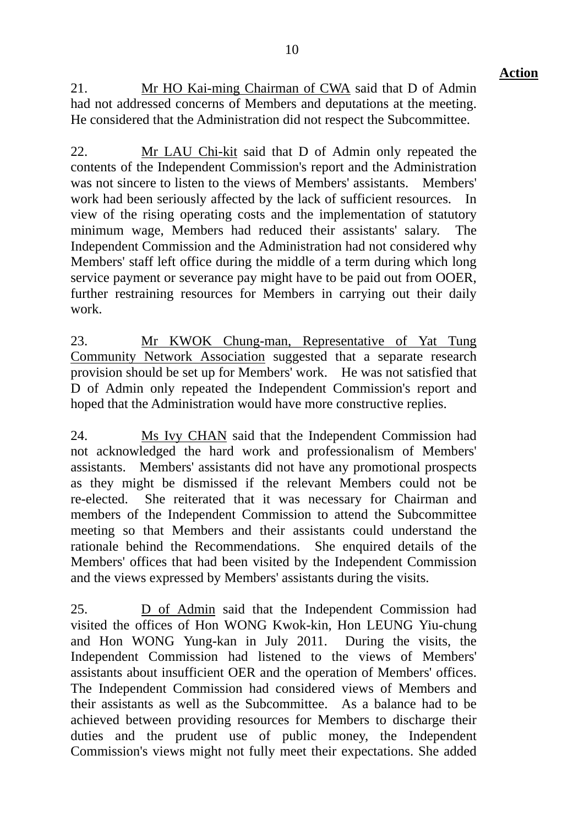21. Mr HO Kai-ming Chairman of CWA said that D of Admin had not addressed concerns of Members and deputations at the meeting. He considered that the Administration did not respect the Subcommittee.

22. Mr LAU Chi-kit said that D of Admin only repeated the contents of the Independent Commission's report and the Administration was not sincere to listen to the views of Members' assistants. Members' work had been seriously affected by the lack of sufficient resources. In view of the rising operating costs and the implementation of statutory minimum wage, Members had reduced their assistants' salary. The Independent Commission and the Administration had not considered why Members' staff left office during the middle of a term during which long service payment or severance pay might have to be paid out from OOER, further restraining resources for Members in carrying out their daily work.

23. Mr KWOK Chung-man, Representative of Yat Tung Community Network Association suggested that a separate research provision should be set up for Members' work. He was not satisfied that D of Admin only repeated the Independent Commission's report and hoped that the Administration would have more constructive replies.

24. Ms Ivy CHAN said that the Independent Commission had not acknowledged the hard work and professionalism of Members' assistants. Members' assistants did not have any promotional prospects as they might be dismissed if the relevant Members could not be re-elected. She reiterated that it was necessary for Chairman and members of the Independent Commission to attend the Subcommittee meeting so that Members and their assistants could understand the rationale behind the Recommendations. She enquired details of the Members' offices that had been visited by the Independent Commission and the views expressed by Members' assistants during the visits.

25. D of Admin said that the Independent Commission had visited the offices of Hon WONG Kwok-kin, Hon LEUNG Yiu-chung and Hon WONG Yung-kan in July 2011. During the visits, the Independent Commission had listened to the views of Members' assistants about insufficient OER and the operation of Members' offices. The Independent Commission had considered views of Members and their assistants as well as the Subcommittee. As a balance had to be achieved between providing resources for Members to discharge their duties and the prudent use of public money, the Independent Commission's views might not fully meet their expectations. She added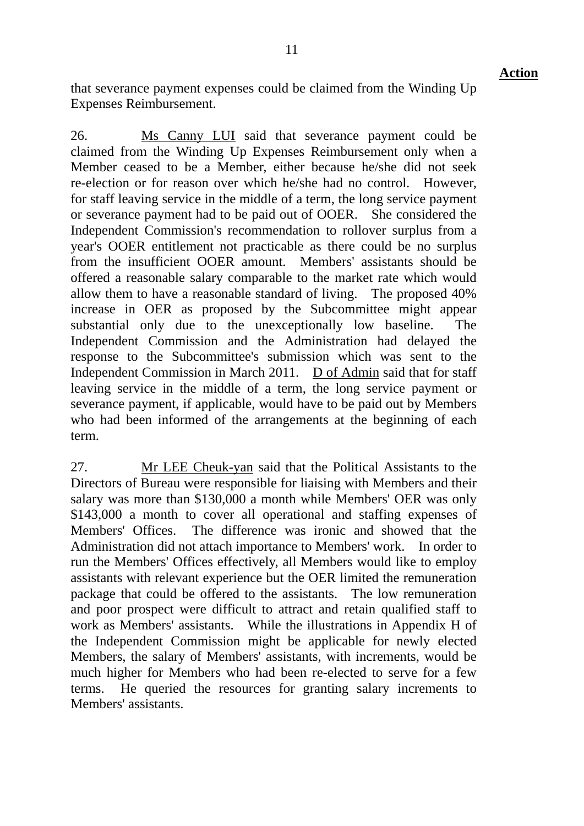that severance payment expenses could be claimed from the Winding Up Expenses Reimbursement.

26. Ms Canny LUI said that severance payment could be claimed from the Winding Up Expenses Reimbursement only when a Member ceased to be a Member, either because he/she did not seek re-election or for reason over which he/she had no control. However, for staff leaving service in the middle of a term, the long service payment or severance payment had to be paid out of OOER. She considered the Independent Commission's recommendation to rollover surplus from a year's OOER entitlement not practicable as there could be no surplus from the insufficient OOER amount. Members' assistants should be offered a reasonable salary comparable to the market rate which would allow them to have a reasonable standard of living. The proposed 40% increase in OER as proposed by the Subcommittee might appear substantial only due to the unexceptionally low baseline. The Independent Commission and the Administration had delayed the response to the Subcommittee's submission which was sent to the Independent Commission in March 2011. D of Admin said that for staff leaving service in the middle of a term, the long service payment or severance payment, if applicable, would have to be paid out by Members who had been informed of the arrangements at the beginning of each term.

27. Mr LEE Cheuk-yan said that the Political Assistants to the Directors of Bureau were responsible for liaising with Members and their salary was more than \$130,000 a month while Members' OER was only \$143,000 a month to cover all operational and staffing expenses of Members' Offices. The difference was ironic and showed that the Administration did not attach importance to Members' work. In order to run the Members' Offices effectively, all Members would like to employ assistants with relevant experience but the OER limited the remuneration package that could be offered to the assistants. The low remuneration and poor prospect were difficult to attract and retain qualified staff to work as Members' assistants. While the illustrations in Appendix H of the Independent Commission might be applicable for newly elected Members, the salary of Members' assistants, with increments, would be much higher for Members who had been re-elected to serve for a few terms. He queried the resources for granting salary increments to Members' assistants.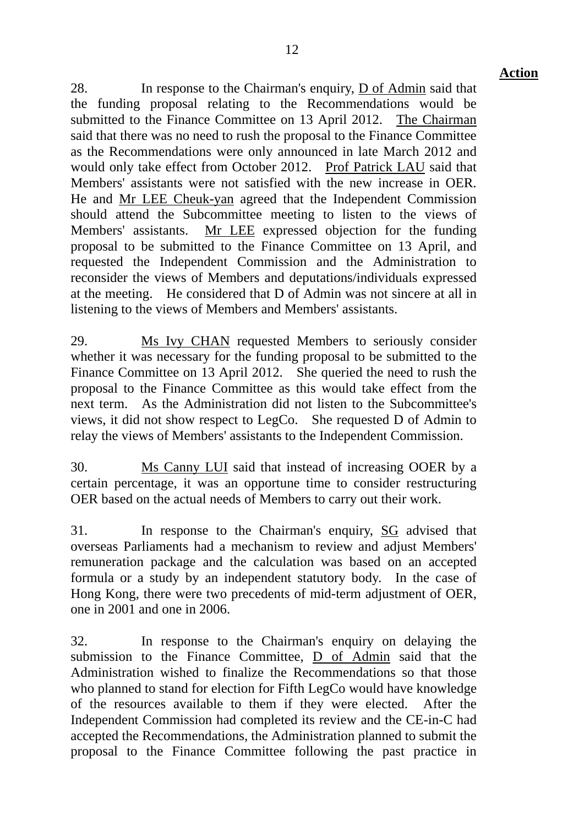28. In response to the Chairman's enquiry, D of Admin said that the funding proposal relating to the Recommendations would be submitted to the Finance Committee on 13 April 2012. The Chairman said that there was no need to rush the proposal to the Finance Committee as the Recommendations were only announced in late March 2012 and would only take effect from October 2012. Prof Patrick LAU said that Members' assistants were not satisfied with the new increase in OER. He and Mr LEE Cheuk-yan agreed that the Independent Commission should attend the Subcommittee meeting to listen to the views of Members' assistants. Mr LEE expressed objection for the funding proposal to be submitted to the Finance Committee on 13 April, and requested the Independent Commission and the Administration to reconsider the views of Members and deputations/individuals expressed at the meeting. He considered that D of Admin was not sincere at all in listening to the views of Members and Members' assistants.

29. Ms Ivy CHAN requested Members to seriously consider whether it was necessary for the funding proposal to be submitted to the Finance Committee on 13 April 2012. She queried the need to rush the proposal to the Finance Committee as this would take effect from the next term. As the Administration did not listen to the Subcommittee's views, it did not show respect to LegCo. She requested D of Admin to relay the views of Members' assistants to the Independent Commission.

30. Ms Canny LUI said that instead of increasing OOER by a certain percentage, it was an opportune time to consider restructuring OER based on the actual needs of Members to carry out their work.

31. In response to the Chairman's enquiry, SG advised that overseas Parliaments had a mechanism to review and adjust Members' remuneration package and the calculation was based on an accepted formula or a study by an independent statutory body. In the case of Hong Kong, there were two precedents of mid-term adjustment of OER, one in 2001 and one in 2006.

32. In response to the Chairman's enquiry on delaying the submission to the Finance Committee, D of Admin said that the Administration wished to finalize the Recommendations so that those who planned to stand for election for Fifth LegCo would have knowledge of the resources available to them if they were elected. After the Independent Commission had completed its review and the CE-in-C had accepted the Recommendations, the Administration planned to submit the proposal to the Finance Committee following the past practice in